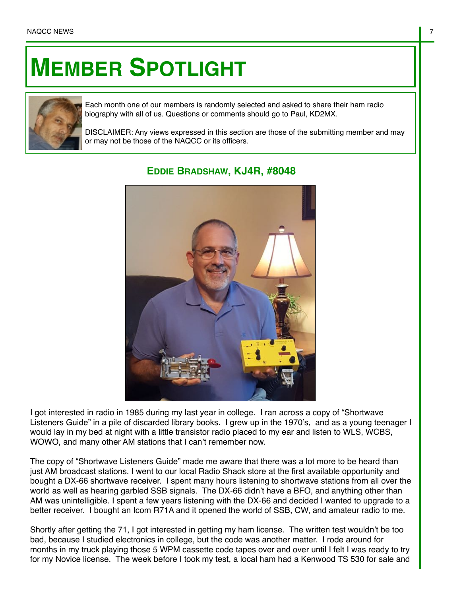## **MEMBER SPOTLIGHT**



Each month one of our members is randomly selected and asked to share their ham radio biography with all of us. Questions or comments should go to Paul, KD2MX.

DISCLAIMER: Any views expressed in this section are those of the submitting member and may or may not be those of the NAQCC or its officers.



## **EDDIE BRADSHAW, KJ4R, #8048**

I got interested in radio in 1985 during my last year in college. I ran across a copy of "Shortwave Listeners Guide" in a pile of discarded library books. I grew up in the 1970's, and as a young teenager I would lay in my bed at night with a little transistor radio placed to my ear and listen to WLS, WCBS, WOWO, and many other AM stations that I can't remember now.

The copy of "Shortwave Listeners Guide" made me aware that there was a lot more to be heard than just AM broadcast stations. I went to our local Radio Shack store at the first available opportunity and bought a DX-66 shortwave receiver. I spent many hours listening to shortwave stations from all over the world as well as hearing garbled SSB signals. The DX-66 didn't have a BFO, and anything other than AM was unintelligible. I spent a few years listening with the DX-66 and decided I wanted to upgrade to a better receiver. I bought an Icom R71A and it opened the world of SSB, CW, and amateur radio to me.

Shortly after getting the 71, I got interested in getting my ham license. The written test wouldn't be too bad, because I studied electronics in college, but the code was another matter. I rode around for months in my truck playing those 5 WPM cassette code tapes over and over until I felt I was ready to try for my Novice license. The week before I took my test, a local ham had a Kenwood TS 530 for sale and